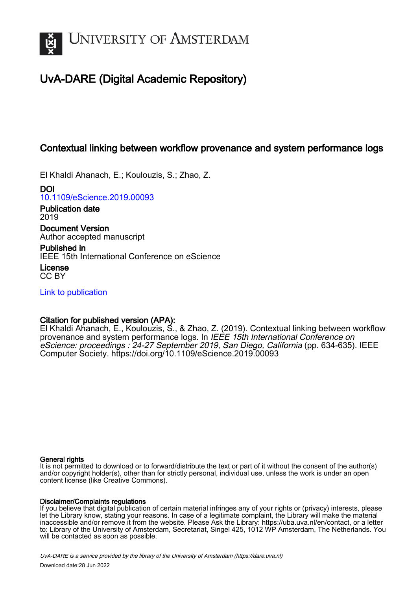

## UvA-DARE (Digital Academic Repository)

## Contextual linking between workflow provenance and system performance logs

El Khaldi Ahanach, E.; Koulouzis, S.; Zhao, Z.

DOI [10.1109/eScience.2019.00093](https://doi.org/10.1109/eScience.2019.00093)

Publication date 2019 Document Version

Author accepted manuscript

Published in IEEE 15th International Conference on eScience

License CC BY

[Link to publication](https://dare.uva.nl/personal/pure/en/publications/contextual-linking-between-workflow-provenance-and-system-performance-logs(f15fa4e5-c62e-445e-8a1c-4ff83ead3c35).html)

### Citation for published version (APA):

El Khaldi Ahanach, E., Koulouzis, S., & Zhao, Z. (2019). Contextual linking between workflow provenance and system performance logs. In IEEE 15th International Conference on eScience: proceedings : 24-27 September 2019, San Diego, California (pp. 634-635). IEEE Computer Society. <https://doi.org/10.1109/eScience.2019.00093>

#### General rights

It is not permitted to download or to forward/distribute the text or part of it without the consent of the author(s) and/or copyright holder(s), other than for strictly personal, individual use, unless the work is under an open content license (like Creative Commons).

#### Disclaimer/Complaints regulations

If you believe that digital publication of certain material infringes any of your rights or (privacy) interests, please let the Library know, stating your reasons. In case of a legitimate complaint, the Library will make the material inaccessible and/or remove it from the website. Please Ask the Library: https://uba.uva.nl/en/contact, or a letter to: Library of the University of Amsterdam, Secretariat, Singel 425, 1012 WP Amsterdam, The Netherlands. You will be contacted as soon as possible.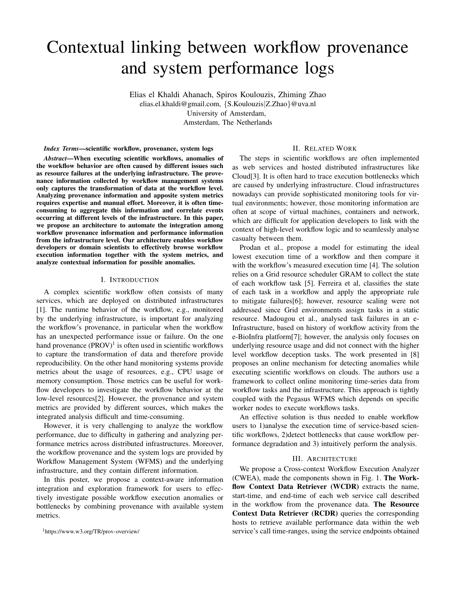# Contextual linking between workflow provenance and system performance logs

Elias el Khaldi Ahanach, Spiros Koulouzis, Zhiming Zhao elias.el.khaldi@gmail.com, {S.Koulouzis|Z.Zhao}@uva.nl University of Amsterdam, Amsterdam, The Netherlands

*Index Terms*—scientific workflow, provenance, system logs

*Abstract*—When executing scientific workflows, anomalies of the workflow behavior are often caused by different issues such as resource failures at the underlying infrastructure. The provenance information collected by workflow management systems only captures the transformation of data at the workflow level. Analyzing provenance information and apposite system metrics requires expertise and manual effort. Moreover, it is often timeconsuming to aggregate this information and correlate events occurring at different levels of the infrastructure. In this paper, we propose an architecture to automate the integration among workflow provenance information and performance information from the infrastructure level. Our architecture enables workflow developers or domain scientists to effectively browse workflow execution information together with the system metrics, and analyze contextual information for possible anomalies.

#### I. INTRODUCTION

A complex scientific workflow often consists of many services, which are deployed on distributed infrastructures [1]. The runtime behavior of the workflow, e.g., monitored by the underlying infrastructure, is important for analyzing the workflow's provenance, in particular when the workflow has an unexpected performance issue or failure. On the one hand provenance  $(PROV)^1$  is often used in scientific workflows to capture the transformation of data and therefore provide reproducibility. On the other hand monitoring systems provide metrics about the usage of resources, e.g., CPU usage or memory consumption. Those metrics can be useful for workflow developers to investigate the workflow behavior at the low-level resources[2]. However, the provenance and system metrics are provided by different sources, which makes the integrated analysis difficult and time-consuming.

However, it is very challenging to analyze the workflow performance, due to difficulty in gathering and analyzing performance metrics across distributed infrastructures. Moreover, the workflow provenance and the system logs are provided by Workflow Management System (WFMS) and the underlying infrastructure, and they contain different information.

In this poster, we propose a context-aware information integration and exploration framework for users to effectively investigate possible workflow execution anomalies or bottlenecks by combining provenance with available system metrics.

<sup>1</sup>https://www.w3.org/TR/prov-overview/

#### II. RELATED WORK

The steps in scientific workflows are often implemented as web services and hosted distributed infrastructures like Cloud[3]. It is often hard to trace execution bottlenecks which are caused by underlying infrastructure. Cloud infrastructures nowadays can provide sophisticated monitoring tools for virtual environments; however, those monitoring information are often at scope of virtual machines, containers and network, which are difficult for application developers to link with the context of high-level workflow logic and to seamlessly analyse casualty between them.

Prodan et al., propose a model for estimating the ideal lowest execution time of a workflow and then compare it with the workflow's measured execution time [4]. The solution relies on a Grid resource scheduler GRAM to collect the state of each workflow task [5]. Ferreira et al, classifies the state of each task in a workflow and apply the appropriate rule to mitigate failures[6]; however, resource scaling were not addressed since Grid environments assign tasks in a static resource. Madougou et al., analysed task failures in an e-Infrastructure, based on history of workflow activity from the e-BioInfra platform[7]; however, the analysis only focuses on underlying resource usage and did not connect with the higher level workflow deception tasks. The work presented in [8] proposes an online mechanism for detecting anomalies while executing scientific workflows on clouds. The authors use a framework to collect online monitoring time-series data from workflow tasks and the infrastructure. This approach is tightly coupled with the Pegasus WFMS which depends on specific worker nodes to execute workflows tasks.

An effective solution is thus needed to enable workflow users to 1)analyse the execution time of service-based scientific workflows, 2)detect bottlenecks that cause workflow performance degradation and 3) intuitively perform the analysis.

#### III. ARCHITECTURE

We propose a Cross-context Workflow Execution Analyzer (CWEA), made the components shown in Fig. 1. The Workflow Context Data Retriever (WCDR) extracts the name, start-time, and end-time of each web service call described in the workflow from the provenance data. The Resource Context Data Retriever (RCDR) queries the corresponding hosts to retrieve available performance data within the web service's call time-ranges, using the service endpoints obtained